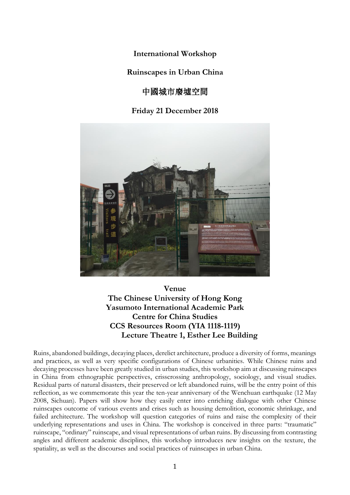**International Workshop**

**Ruinscapes in Urban China**

# 中國城市廢墟空間

## **Friday 21 December 2018**



**Venue The Chinese University of Hong Kong Yasumoto International Academic Park Centre for China Studies CCS Resources Room (YIA 1118-1119) Lecture Theatre 1, Esther Lee Building**

Ruins, abandoned buildings, decaying places, derelict architecture, produce a diversity of forms, meanings and practices, as well as very specific configurations of Chinese urbanities. While Chinese ruins and decaying processes have been greatly studied in urban studies, this workshop aim at discussing ruinscapes in China from ethnographic perspectives, crisscrossing anthropology, sociology, and visual studies. Residual parts of natural disasters, their preserved or left abandoned ruins, will be the entry point of this reflection, as we commemorate this year the ten-year anniversary of the Wenchuan earthquake (12 May 2008, Sichuan). Papers will show how they easily enter into enriching dialogue with other Chinese ruinscapes outcome of various events and crises such as housing demolition, economic shrinkage, and failed architecture. The workshop will question categories of ruins and raise the complexity of their underlying representations and uses in China. The workshop is conceived in three parts: "traumatic" ruinscape, "ordinary" ruinscape, and visual representations of urban ruins. By discussing from contrasting angles and different academic disciplines, this workshop introduces new insights on the texture, the spatiality, as well as the discourses and social practices of ruinscapes in urban China.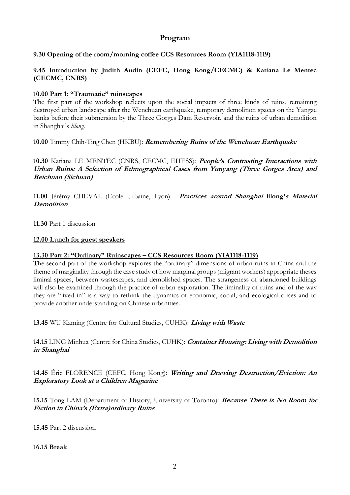## **Program**

### **9.30 Opening of the room/morning coffee CCS Resources Room (YIA1118-1119)**

### **9.45 Introduction by Judith Audin (CEFC, Hong Kong/CECMC) & Katiana Le Mentec (CECMC, CNRS)**

#### **10.00 Part 1: "Traumatic" ruinscapes**

The first part of the workshop reflects upon the social impacts of three kinds of ruins, remaining destroyed urban landscape after the Wenchuan earthquake, temporary demolition spaces on the Yangze banks before their submersion by the Three Gorges Dam Reservoir, and the ruins of urban demolition in Shanghai's *lilong*.

**10.00** Timmy Chih-Ting Chen (HKBU): **Remembering Ruins of the Wenchuan Earthquake**

**10.30** Katiana LE MENTEC (CNRS, CECMC, EHESS): **People's Contrasting Interactions with Urban Ruins: A Selection of Ethnographical Cases from Yunyang (Three Gorges Area) and Beichuan (Sichuan)**

**11.00** Jérémy CHEVAL (Ecole Urbaine, Lyon): **Practices around Shanghai lilong'<sup>s</sup> Material Demolition**

**11.30** Part 1 discussion

#### **12.00 Lunch for guest speakers**

#### **13.30 Part 2: "Ordinary" Ruinscapes – CCS Resources Room (YIA1118-1119)**

The second part of the workshop explores the "ordinary" dimensions of urban ruins in China and the theme of marginality through the case study of how marginal groups (migrant workers) appropriate theses liminal spaces, between wastescapes, and demolished spaces. The strangeness of abandoned buildings will also be examined through the practice of urban exploration. The liminality of ruins and of the way they are "lived in" is a way to rethink the dynamics of economic, social, and ecological crises and to provide another understanding on Chinese urbanities.

**13.45** WU Kaming (Centre for Cultural Studies, CUHK): **Living with Waste**

**14.15** LING Minhua (Centre for China Studies, CUHK): **Container Housing: Living with Demolition in Shanghai**

**14.45** Éric FLORENCE (CEFC, Hong Kong): **Writing and Drawing Destruction/Eviction: An Exploratory Look at a Children Magazine**

**15.15** Tong LAM (Department of History, University of Toronto): **Because There is No Room for Fiction in China's (Extra)ordinary Ruins**

**15.45** Part 2 discussion

#### **16.15 Break**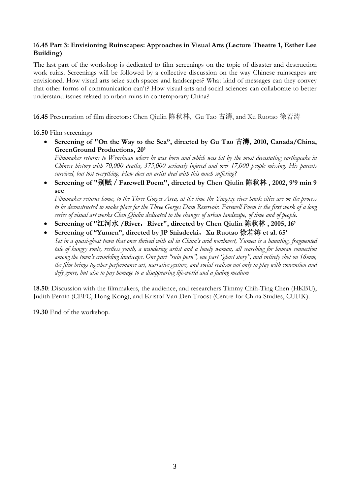### **16.45 Part 3: Envisioning Ruinscapes: Approaches in Visual Arts (Lecture Theatre 1, Esther Lee Building)**

The last part of the workshop is dedicated to film screenings on the topic of disaster and destruction work ruins. Screenings will be followed by a collective discussion on the way Chinese ruinscapes are envisioned. How visual arts seize such spaces and landscapes? What kind of messages can they convey that other forms of communication can't? How visual arts and social sciences can collaborate to better understand issues related to urban ruins in contemporary China?

**16.45** Presentation of film directors: Chen Qiulin 陈秋林, Gu Tao 古濤, and Xu Ruotao 徐若涛

**16.50** Film screenings

• **Screening of "On the Way to the Sea", directed by Gu Tao** 古濤**, 2010, Canada/China, GreenGround Productions, 20'**

Filmmaker returns to Wenchuan where he was born and which was hit by the most devastating earthauake in *Chinese history with 70,000 deaths, 375,000 seriously injured and over 17,000 people missing. His parents survived, but lost everything. How does an artist deal with this much suffering?*

• **Screening of "**别赋/**Farewell Poem", directed by Chen Qiulin** 陈秋林 **, 2002, 9'9 min 9 sec**

Filmmaker returns home, to the Three Gorges Area, at the time the Yangtze river bank cities are on the process to be deconstructed to make place for the Three Gorges Dam Reservoir. Farewell Poem is the first work of a long series of visual art works Chen Qiulin dedicated to the changes of urban landscape, of time and of people.

- **Screening of "**江河水 **/River**,**River", directed by Chen Qiulin** 陈秋林 **, 2005, 16'**
- **Screening of "Yumen", directed by JP Sniadecki**,**Xu Ruotao** 徐若涛 **et al. 65'** Set in a quasi-ghost town that once thrived with oil in China's arid northwest, Yumen is a haunting, fragmented tale of hungry souls, restless youth, a wandering artist and a lonely woman, all searching for human connection among the town's crumbling landscape. One part "ruin porn", one part "ghost story", and entirely shot on 16mm, the film brings together performance art, narrative gesture, and social realism not only to play with convention and *defy genre, but also to pay homage to a disappearing life-world and a fading medium*

**18.50**: Discussion with the filmmakers, the audience, and researchers Timmy Chih-Ting Chen (HKBU), Judith Pernin (CEFC, Hong Kong), and Kristof Van Den Troost (Centre for China Studies, CUHK).

**19.30** End of the workshop.